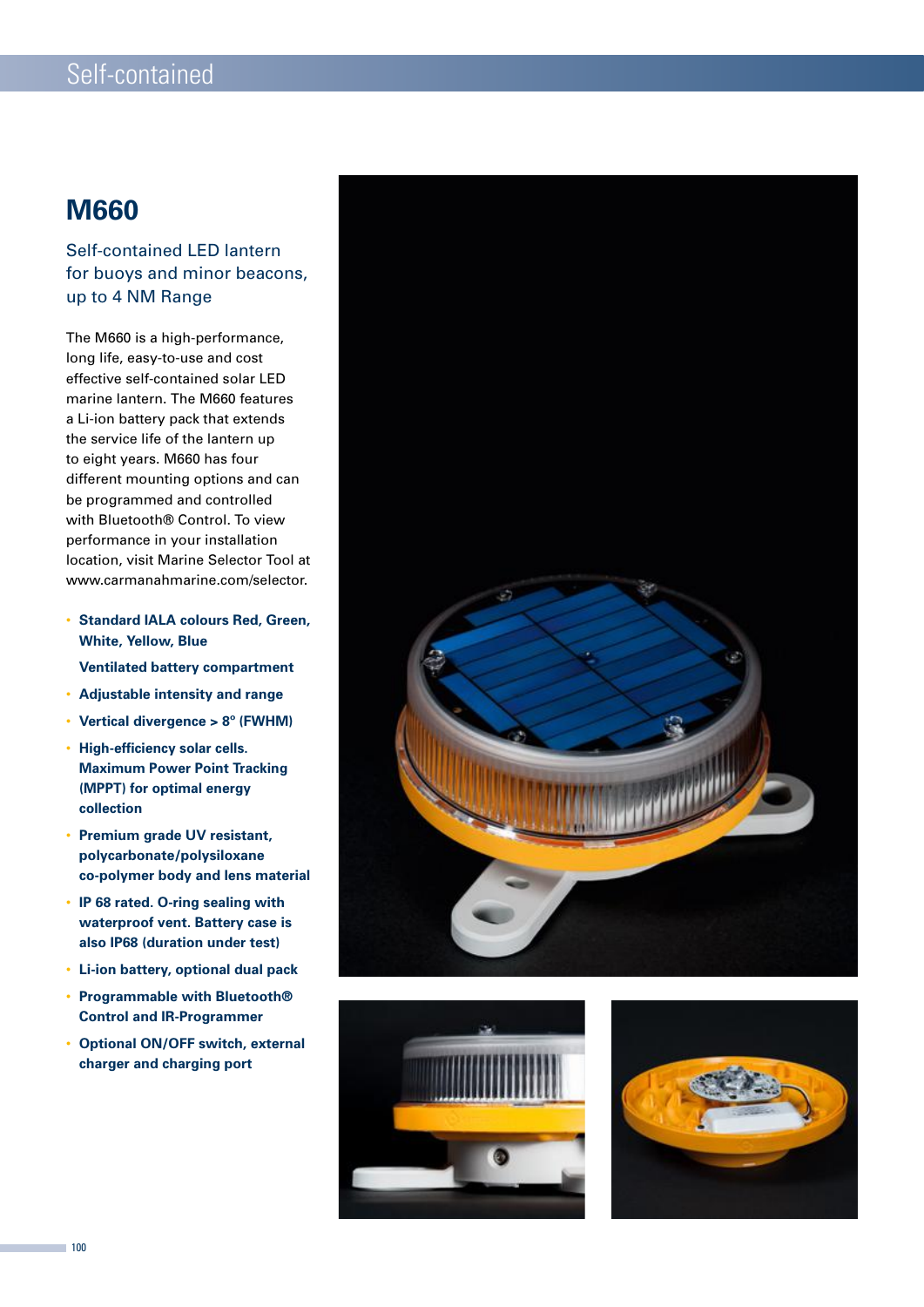### **M660**

### Self-contained LED lantern for buoys and minor beacons, up to 4 NM Range

The M660 is a high-performance, long life, easy-to-use and cost effective self-contained solar LED marine lantern. The M660 features a Li-ion battery pack that extends the service life of the lantern up to eight years. M660 has four different mounting options and can be programmed and controlled with Bluetooth® Control. To view performance in your installation location, visit Marine Selector Tool at www.carmanahmarine.com/selector.

- **Standard IALA colours Red, Green, White, Yellow, Blue**
	- **Ventilated battery compartment**
- **Adjustable intensity and range**
- **Vertical divergence > 8º (FWHM)**
- **High-efficiency solar cells. Maximum Power Point Tracking (MPPT) for optimal energy collection**
- **Premium grade UV resistant, polycarbonate/polysiloxane co-polymer body and lens material**
- **IP 68 rated. O-ring sealing with waterproof vent. Battery case is also IP68 (duration under test)**
- **Li-ion battery, optional dual pack**
- **Programmable with Bluetooth® Control and IR-Programmer**
- **Optional ON/OFF switch, external charger and charging port**





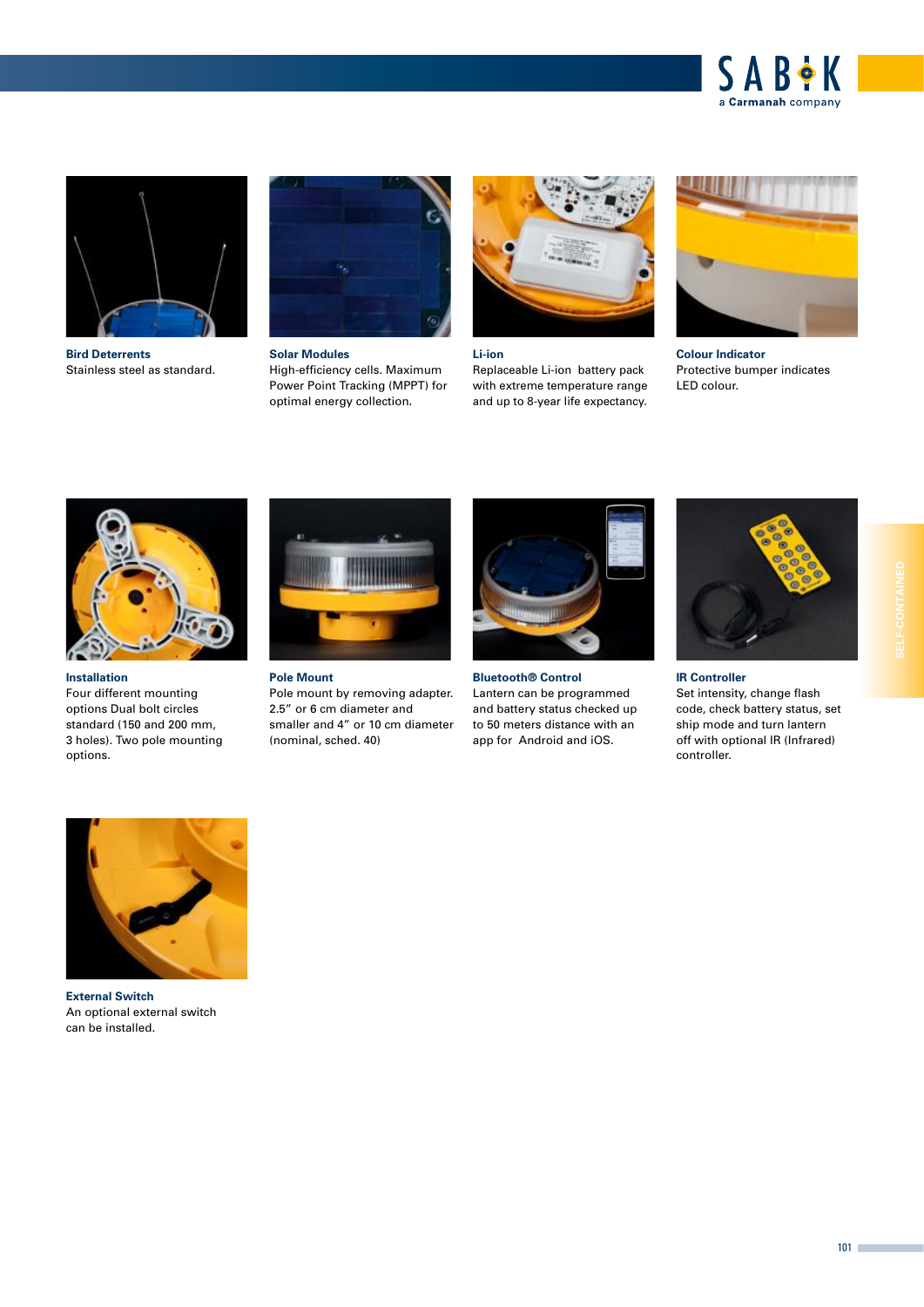



**Bird Deterrents**  Stainless steel as standard.



**Solar Modules** High-efficiency cells. Maximum Power Point Tracking (MPPT) for optimal energy collection.



#### **Li-ion**

Replaceable Li-ion battery pack with extreme temperature range and up to 8-year life expectancy.



**Colour Indicator**  Protective bumper indicates LED colour.



**Installation** Four different mounting options Dual bolt circles standard (150 and 200 mm, 3 holes). Two pole mounting options.



**Pole Mount** 

Pole mount by removing adapter. 2.5" or 6 cm diameter and smaller and 4" or 10 cm diameter (nominal, sched. 40)



**Bluetooth® Control** Lantern can be programmed and battery status checked up to 50 meters distance with an app for Android and iOS.



**IR Controller** 

Set intensity, change flash code, check battery status, set ship mode and turn lantern off with optional IR (Infrared) controller.



**External Switch** An optional external switch can be installed.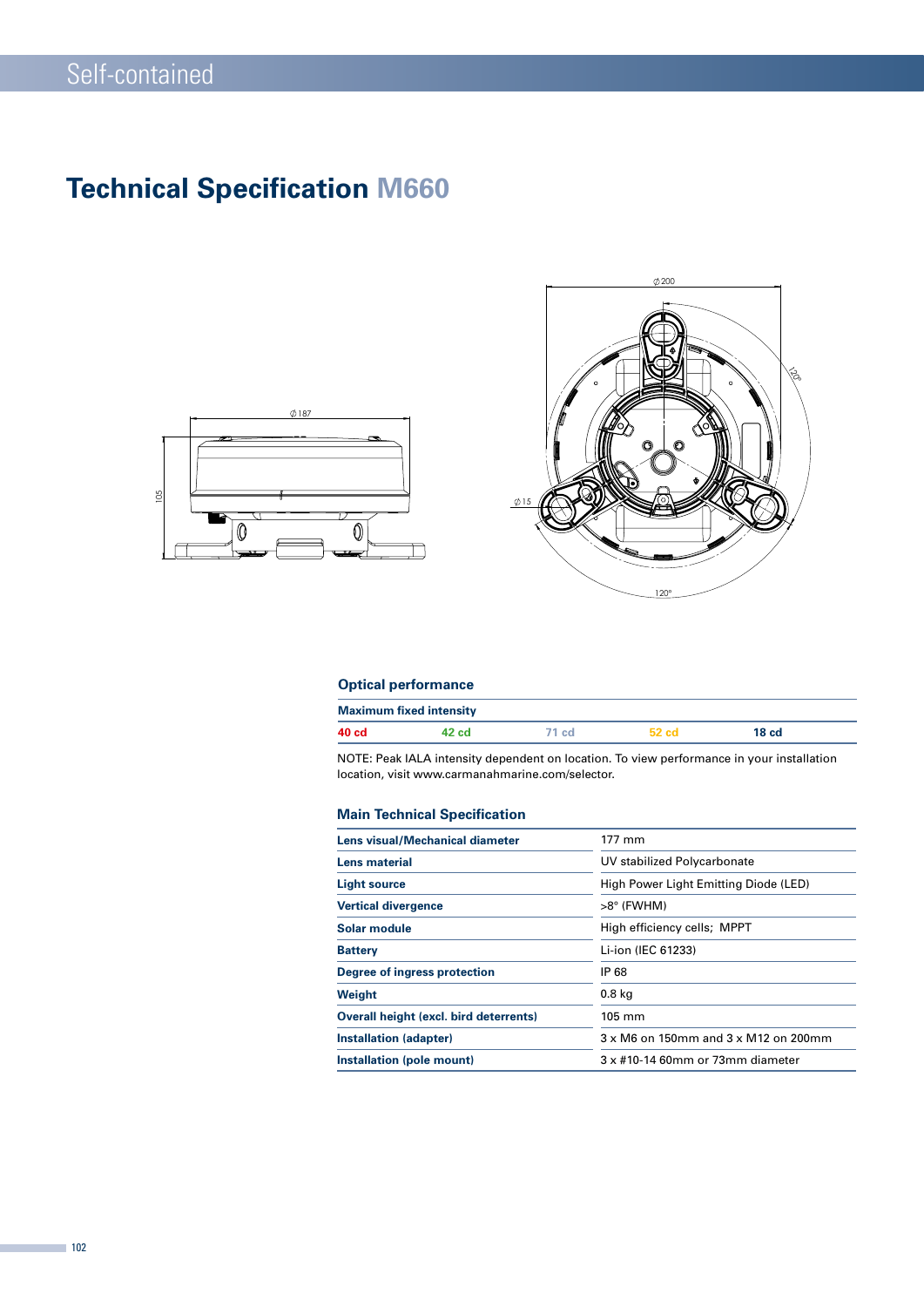# **Technical Specification M660**





### **Optical performance**

| <b>Maximum fixed intensity</b> |       |        |       |       |  |  |  |
|--------------------------------|-------|--------|-------|-------|--|--|--|
| 40 cd                          | ⊶∠ cd | '1 cd. | 52 cd | 18 cd |  |  |  |

NOTE: Peak IALA intensity dependent on location. To view performance in your installation location, visit www.carmanahmarine.com/selector.

#### **Main Technical Specification**

| Lens visual/Mechanical diameter               | 177 mm                                |  |  |
|-----------------------------------------------|---------------------------------------|--|--|
| <b>Lens material</b>                          | UV stabilized Polycarbonate           |  |  |
| <b>Light source</b>                           | High Power Light Emitting Diode (LED) |  |  |
| <b>Vertical divergence</b>                    | >8° (FWHM)                            |  |  |
| Solar module                                  | High efficiency cells; MPPT           |  |  |
| <b>Battery</b>                                | Li-ion (IEC 61233)                    |  |  |
| Degree of ingress protection                  | IP 68                                 |  |  |
| Weight                                        | 0.8 <sub>kq</sub>                     |  |  |
| <b>Overall height (excl. bird deterrents)</b> | $105 \text{ mm}$                      |  |  |
| Installation (adapter)                        | 3 x M6 on 150mm and 3 x M12 on 200mm  |  |  |
| Installation (pole mount)                     | 3 x #10-14 60mm or 73mm diameter      |  |  |